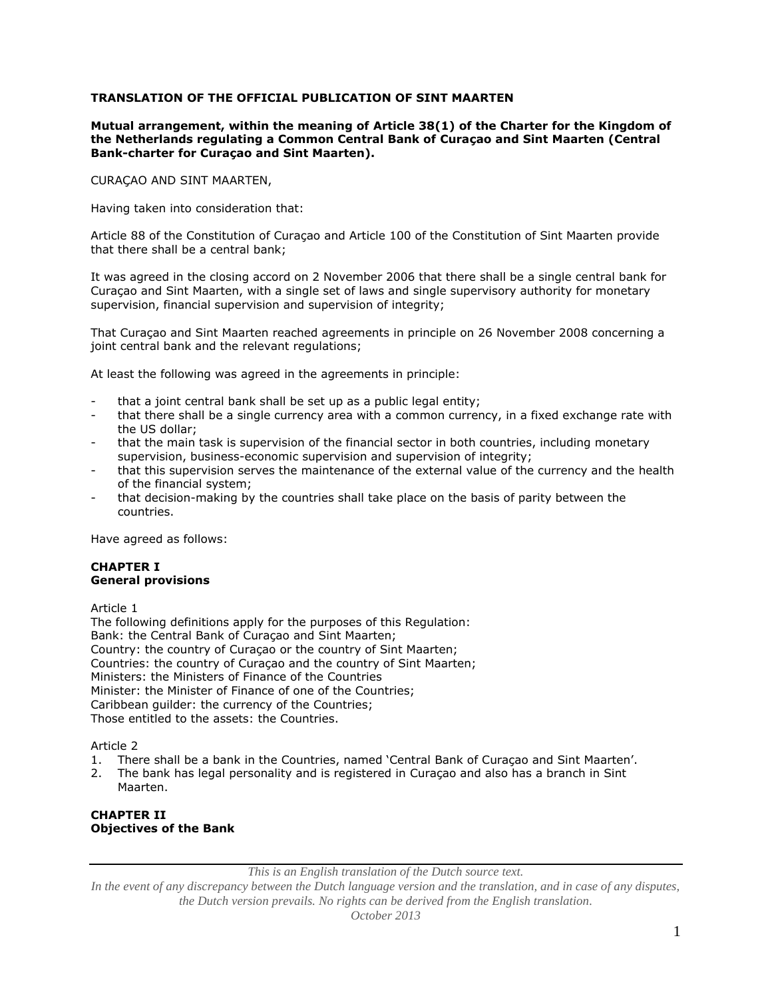# **TRANSLATION OF THE OFFICIAL PUBLICATION OF SINT MAARTEN**

**Mutual arrangement, within the meaning of Article 38(1) of the Charter for the Kingdom of the Netherlands regulating a Common Central Bank of Curaçao and Sint Maarten (Central Bank-charter for Curaçao and Sint Maarten).**

CURAÇAO AND SINT MAARTEN,

Having taken into consideration that:

Article 88 of the Constitution of Curaçao and Article 100 of the Constitution of Sint Maarten provide that there shall be a central bank;

It was agreed in the closing accord on 2 November 2006 that there shall be a single central bank for Curaçao and Sint Maarten, with a single set of laws and single supervisory authority for monetary supervision, financial supervision and supervision of integrity;

That Curaçao and Sint Maarten reached agreements in principle on 26 November 2008 concerning a joint central bank and the relevant regulations;

At least the following was agreed in the agreements in principle:

- that a joint central bank shall be set up as a public legal entity;
- that there shall be a single currency area with a common currency, in a fixed exchange rate with the US dollar;
- that the main task is supervision of the financial sector in both countries, including monetary supervision, business-economic supervision and supervision of integrity;
- that this supervision serves the maintenance of the external value of the currency and the health of the financial system;
- that decision-making by the countries shall take place on the basis of parity between the countries.

Have agreed as follows:

### **CHAPTER I General provisions**

Article 1

The following definitions apply for the purposes of this Regulation: Bank: the Central Bank of Curaçao and Sint Maarten; Country: the country of Curaçao or the country of Sint Maarten; Countries: the country of Curaçao and the country of Sint Maarten; Ministers: the Ministers of Finance of the Countries Minister: the Minister of Finance of one of the Countries; Caribbean guilder: the currency of the Countries; Those entitled to the assets: the Countries.

Article 2

- 1. There shall be a bank in the Countries, named 'Central Bank of Curaçao and Sint Maarten'.
- 2. The bank has legal personality and is registered in Curaçao and also has a branch in Sint Maarten.

### **CHAPTER II Objectives of the Bank**

*This is an English translation of the Dutch source text.*

*In the event of any discrepancy between the Dutch language version and the translation, and in case of any disputes, the Dutch version prevails. No rights can be derived from the English translation.*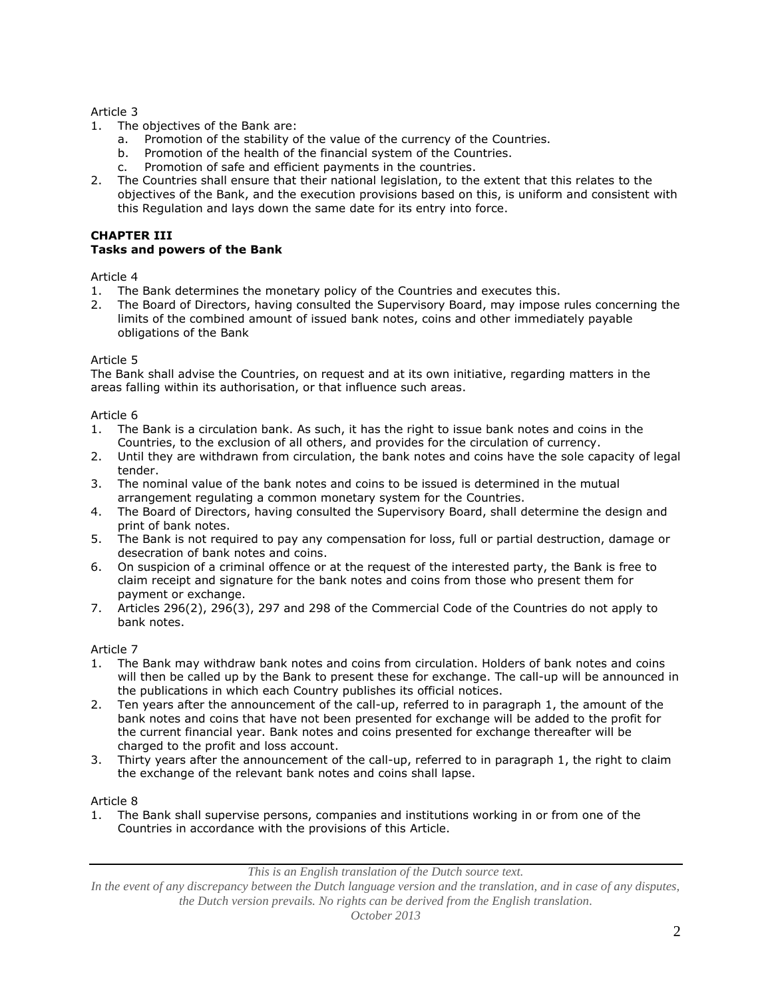- 1. The objectives of the Bank are:
	- a. Promotion of the stability of the value of the currency of the Countries.
	- b. Promotion of the health of the financial system of the Countries.
	- c. Promotion of safe and efficient payments in the countries.
- 2. The Countries shall ensure that their national legislation, to the extent that this relates to the objectives of the Bank, and the execution provisions based on this, is uniform and consistent with this Regulation and lays down the same date for its entry into force.

# **CHAPTER III**

### **Tasks and powers of the Bank**

Article 4

- 1. The Bank determines the monetary policy of the Countries and executes this.
- 2. The Board of Directors, having consulted the Supervisory Board, may impose rules concerning the limits of the combined amount of issued bank notes, coins and other immediately payable obligations of the Bank

### Article 5

The Bank shall advise the Countries, on request and at its own initiative, regarding matters in the areas falling within its authorisation, or that influence such areas.

#### Article 6

- 1. The Bank is a circulation bank. As such, it has the right to issue bank notes and coins in the Countries, to the exclusion of all others, and provides for the circulation of currency.
- 2. Until they are withdrawn from circulation, the bank notes and coins have the sole capacity of legal tender.
- 3. The nominal value of the bank notes and coins to be issued is determined in the mutual arrangement regulating a common monetary system for the Countries.
- 4. The Board of Directors, having consulted the Supervisory Board, shall determine the design and print of bank notes.
- 5. The Bank is not required to pay any compensation for loss, full or partial destruction, damage or desecration of bank notes and coins.
- 6. On suspicion of a criminal offence or at the request of the interested party, the Bank is free to claim receipt and signature for the bank notes and coins from those who present them for payment or exchange.
- 7. Articles 296(2), 296(3), 297 and 298 of the Commercial Code of the Countries do not apply to bank notes.

### Article 7

- 1. The Bank may withdraw bank notes and coins from circulation. Holders of bank notes and coins will then be called up by the Bank to present these for exchange. The call-up will be announced in the publications in which each Country publishes its official notices.
- 2. Ten years after the announcement of the call-up, referred to in paragraph 1, the amount of the bank notes and coins that have not been presented for exchange will be added to the profit for the current financial year. Bank notes and coins presented for exchange thereafter will be charged to the profit and loss account.
- 3. Thirty years after the announcement of the call-up, referred to in paragraph 1, the right to claim the exchange of the relevant bank notes and coins shall lapse.

### Article 8

1. The Bank shall supervise persons, companies and institutions working in or from one of the Countries in accordance with the provisions of this Article.

*This is an English translation of the Dutch source text.*

*In the event of any discrepancy between the Dutch language version and the translation, and in case of any disputes, the Dutch version prevails. No rights can be derived from the English translation.*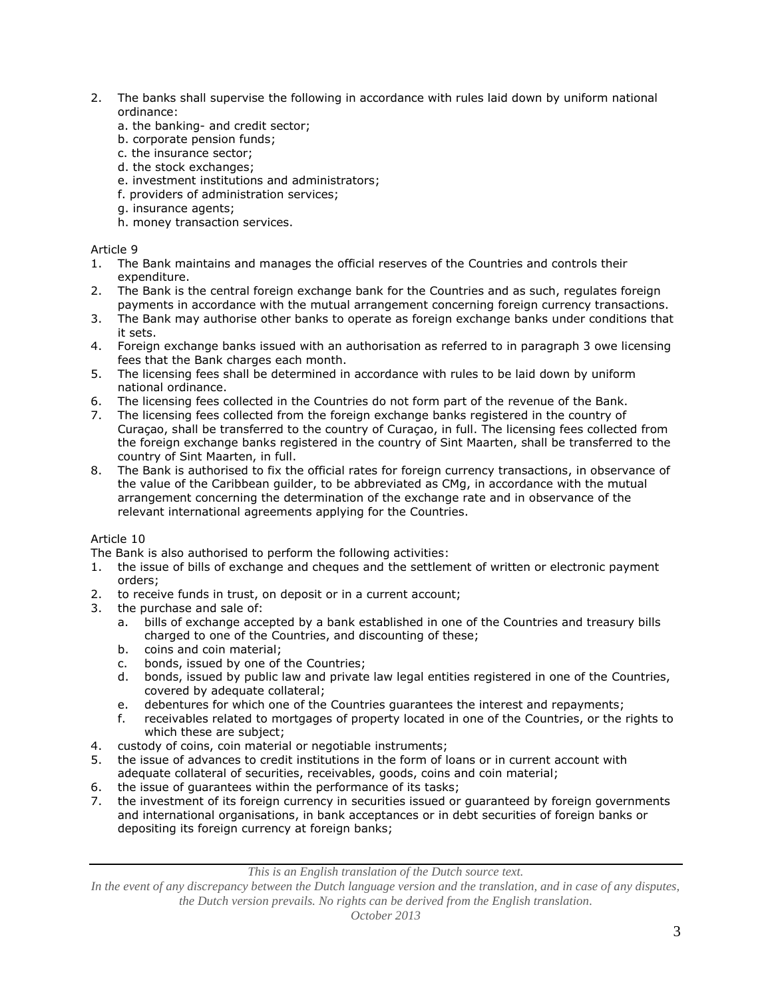- 2. The banks shall supervise the following in accordance with rules laid down by uniform national ordinance:
	- a. the banking- and credit sector;
	- b. corporate pension funds;
	- c. the insurance sector;
	- d. the stock exchanges;
	- e. investment institutions and administrators;
	- f. providers of administration services;
	- g. insurance agents;
	- h. money transaction services.

- 1. The Bank maintains and manages the official reserves of the Countries and controls their expenditure.
- 2. The Bank is the central foreign exchange bank for the Countries and as such, regulates foreign payments in accordance with the mutual arrangement concerning foreign currency transactions.
- 3. The Bank may authorise other banks to operate as foreign exchange banks under conditions that it sets.
- 4. Foreign exchange banks issued with an authorisation as referred to in paragraph 3 owe licensing fees that the Bank charges each month.
- 5. The licensing fees shall be determined in accordance with rules to be laid down by uniform national ordinance.
- 6. The licensing fees collected in the Countries do not form part of the revenue of the Bank.
- 7. The licensing fees collected from the foreign exchange banks registered in the country of Curaçao, shall be transferred to the country of Curaçao, in full. The licensing fees collected from the foreign exchange banks registered in the country of Sint Maarten, shall be transferred to the country of Sint Maarten, in full.
- 8. The Bank is authorised to fix the official rates for foreign currency transactions, in observance of the value of the Caribbean guilder, to be abbreviated as CMg, in accordance with the mutual arrangement concerning the determination of the exchange rate and in observance of the relevant international agreements applying for the Countries.

### Article 10

The Bank is also authorised to perform the following activities:

- 1. the issue of bills of exchange and cheques and the settlement of written or electronic payment orders;
- 2. to receive funds in trust, on deposit or in a current account;
- 3. the purchase and sale of:
	- a. bills of exchange accepted by a bank established in one of the Countries and treasury bills charged to one of the Countries, and discounting of these;
	- b. coins and coin material;
	- c. bonds, issued by one of the Countries;
	- d. bonds, issued by public law and private law legal entities registered in one of the Countries, covered by adequate collateral;
	- e. debentures for which one of the Countries guarantees the interest and repayments;
	- f. receivables related to mortgages of property located in one of the Countries, or the rights to which these are subject;
- 4. custody of coins, coin material or negotiable instruments;
- 5. the issue of advances to credit institutions in the form of loans or in current account with adequate collateral of securities, receivables, goods, coins and coin material;
- 6. the issue of guarantees within the performance of its tasks;
- 7. the investment of its foreign currency in securities issued or guaranteed by foreign governments and international organisations, in bank acceptances or in debt securities of foreign banks or depositing its foreign currency at foreign banks;

*This is an English translation of the Dutch source text.*

*In the event of any discrepancy between the Dutch language version and the translation, and in case of any disputes, the Dutch version prevails. No rights can be derived from the English translation.*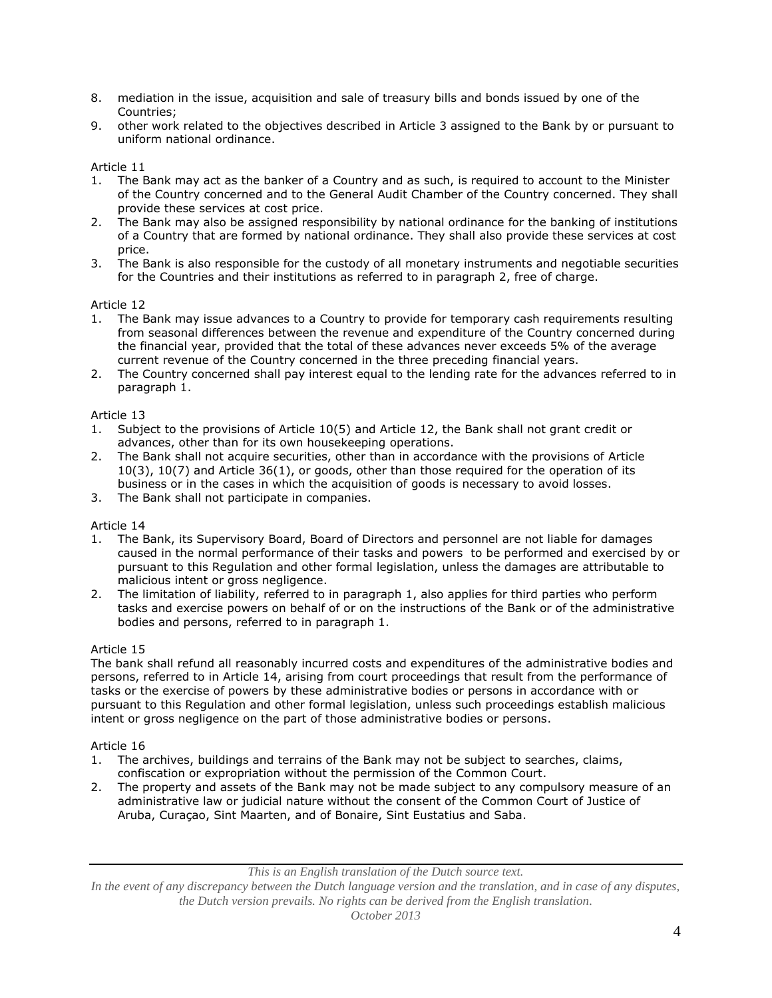- 8. mediation in the issue, acquisition and sale of treasury bills and bonds issued by one of the Countries;
- 9. other work related to the objectives described in Article 3 assigned to the Bank by or pursuant to uniform national ordinance.

- 1. The Bank may act as the banker of a Country and as such, is required to account to the Minister of the Country concerned and to the General Audit Chamber of the Country concerned. They shall provide these services at cost price.
- 2. The Bank may also be assigned responsibility by national ordinance for the banking of institutions of a Country that are formed by national ordinance. They shall also provide these services at cost price.
- 3. The Bank is also responsible for the custody of all monetary instruments and negotiable securities for the Countries and their institutions as referred to in paragraph 2, free of charge.

# Article 12

- 1. The Bank may issue advances to a Country to provide for temporary cash requirements resulting from seasonal differences between the revenue and expenditure of the Country concerned during the financial year, provided that the total of these advances never exceeds 5% of the average current revenue of the Country concerned in the three preceding financial years.
- 2. The Country concerned shall pay interest equal to the lending rate for the advances referred to in paragraph 1.

### Article 13

- 1. Subject to the provisions of Article 10(5) and Article 12, the Bank shall not grant credit or advances, other than for its own housekeeping operations.
- 2. The Bank shall not acquire securities, other than in accordance with the provisions of Article 10(3), 10(7) and Article 36(1), or goods, other than those required for the operation of its business or in the cases in which the acquisition of goods is necessary to avoid losses.
- 3. The Bank shall not participate in companies.

### Article 14

- 1. The Bank, its Supervisory Board, Board of Directors and personnel are not liable for damages caused in the normal performance of their tasks and powers to be performed and exercised by or pursuant to this Regulation and other formal legislation, unless the damages are attributable to malicious intent or gross negligence.
- 2. The limitation of liability, referred to in paragraph 1, also applies for third parties who perform tasks and exercise powers on behalf of or on the instructions of the Bank or of the administrative bodies and persons, referred to in paragraph 1.

### Article 15

The bank shall refund all reasonably incurred costs and expenditures of the administrative bodies and persons, referred to in Article 14, arising from court proceedings that result from the performance of tasks or the exercise of powers by these administrative bodies or persons in accordance with or pursuant to this Regulation and other formal legislation, unless such proceedings establish malicious intent or gross negligence on the part of those administrative bodies or persons.

### Article 16

- 1. The archives, buildings and terrains of the Bank may not be subject to searches, claims, confiscation or expropriation without the permission of the Common Court.
- 2. The property and assets of the Bank may not be made subject to any compulsory measure of an administrative law or judicial nature without the consent of the Common Court of Justice of Aruba, Curaçao, Sint Maarten, and of Bonaire, Sint Eustatius and Saba.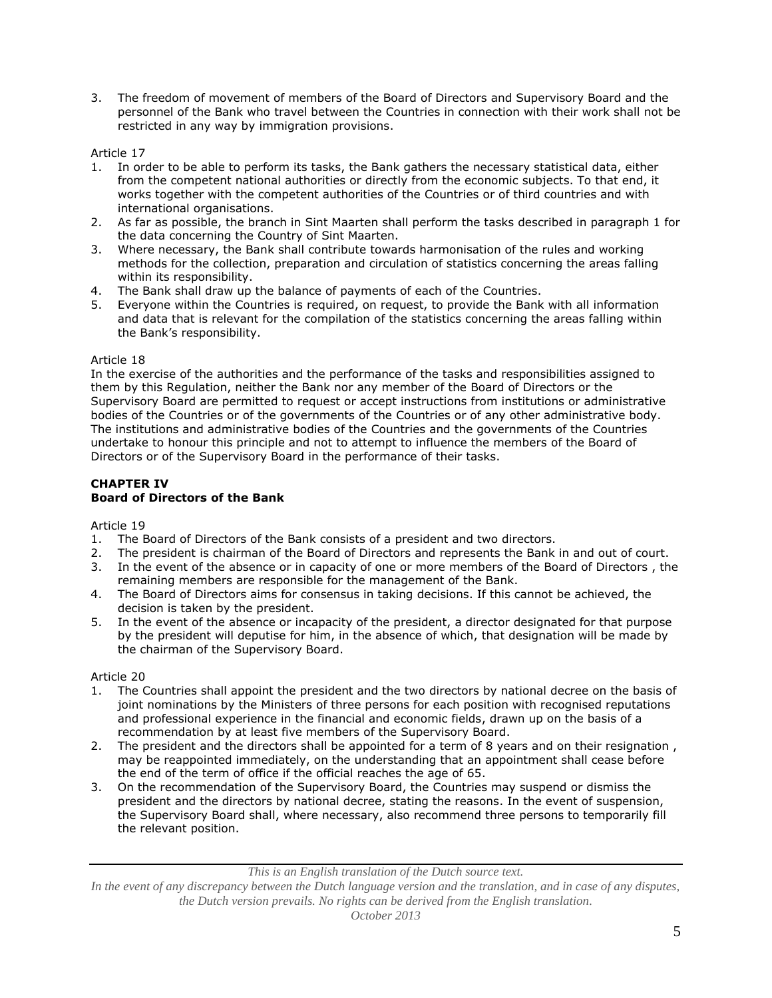3. The freedom of movement of members of the Board of Directors and Supervisory Board and the personnel of the Bank who travel between the Countries in connection with their work shall not be restricted in any way by immigration provisions.

# Article 17

- 1. In order to be able to perform its tasks, the Bank gathers the necessary statistical data, either from the competent national authorities or directly from the economic subjects. To that end, it works together with the competent authorities of the Countries or of third countries and with international organisations.
- 2. As far as possible, the branch in Sint Maarten shall perform the tasks described in paragraph 1 for the data concerning the Country of Sint Maarten.
- 3. Where necessary, the Bank shall contribute towards harmonisation of the rules and working methods for the collection, preparation and circulation of statistics concerning the areas falling within its responsibility.
- 4. The Bank shall draw up the balance of payments of each of the Countries.
- 5. Everyone within the Countries is required, on request, to provide the Bank with all information and data that is relevant for the compilation of the statistics concerning the areas falling within the Bank's responsibility.

### Article 18

In the exercise of the authorities and the performance of the tasks and responsibilities assigned to them by this Regulation, neither the Bank nor any member of the Board of Directors or the Supervisory Board are permitted to request or accept instructions from institutions or administrative bodies of the Countries or of the governments of the Countries or of any other administrative body. The institutions and administrative bodies of the Countries and the governments of the Countries undertake to honour this principle and not to attempt to influence the members of the Board of Directors or of the Supervisory Board in the performance of their tasks.

# **CHAPTER IV Board of Directors of the Bank**

#### Article 19

- 1. The Board of Directors of the Bank consists of a president and two directors.
- 2. The president is chairman of the Board of Directors and represents the Bank in and out of court.
- 3. In the event of the absence or in capacity of one or more members of the Board of Directors , the remaining members are responsible for the management of the Bank.
- 4. The Board of Directors aims for consensus in taking decisions. If this cannot be achieved, the decision is taken by the president.
- 5. In the event of the absence or incapacity of the president, a director designated for that purpose by the president will deputise for him, in the absence of which, that designation will be made by the chairman of the Supervisory Board.

### Article 20

- 1. The Countries shall appoint the president and the two directors by national decree on the basis of joint nominations by the Ministers of three persons for each position with recognised reputations and professional experience in the financial and economic fields, drawn up on the basis of a recommendation by at least five members of the Supervisory Board.
- 2. The president and the directors shall be appointed for a term of 8 years and on their resignation , may be reappointed immediately, on the understanding that an appointment shall cease before the end of the term of office if the official reaches the age of 65.
- 3. On the recommendation of the Supervisory Board, the Countries may suspend or dismiss the president and the directors by national decree, stating the reasons. In the event of suspension, the Supervisory Board shall, where necessary, also recommend three persons to temporarily fill the relevant position.

*In the event of any discrepancy between the Dutch language version and the translation, and in case of any disputes, the Dutch version prevails. No rights can be derived from the English translation.*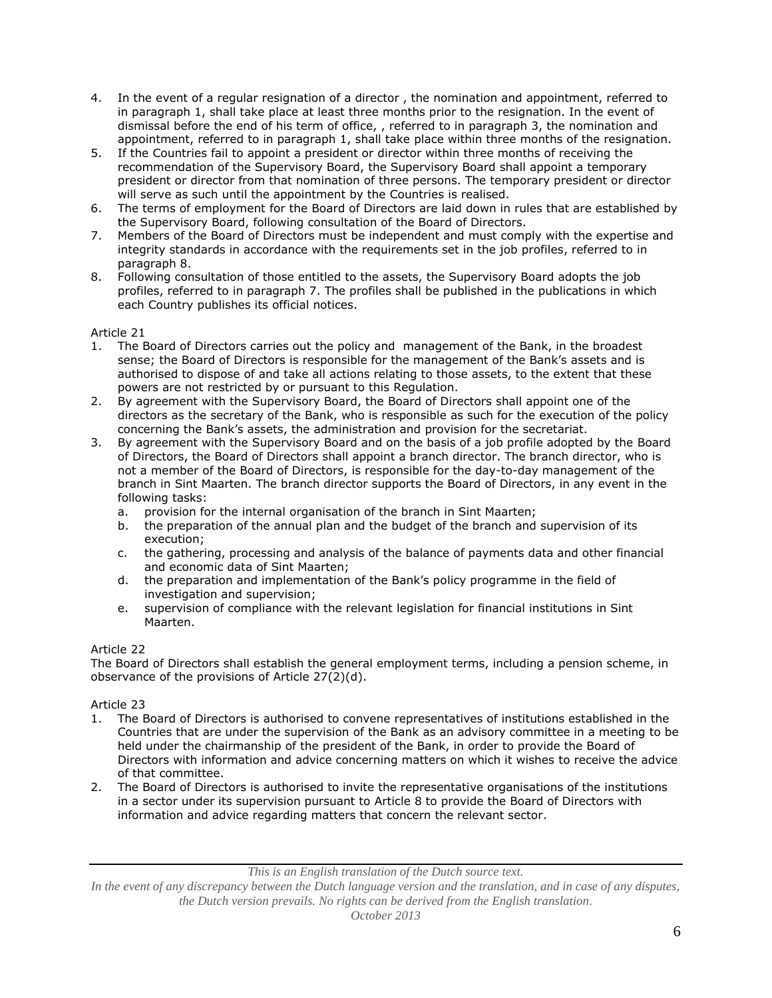- 4. In the event of a regular resignation of a director , the nomination and appointment, referred to in paragraph 1, shall take place at least three months prior to the resignation. In the event of dismissal before the end of his term of office, , referred to in paragraph 3, the nomination and appointment, referred to in paragraph 1, shall take place within three months of the resignation.
- 5. If the Countries fail to appoint a president or director within three months of receiving the recommendation of the Supervisory Board, the Supervisory Board shall appoint a temporary president or director from that nomination of three persons. The temporary president or director will serve as such until the appointment by the Countries is realised.
- 6. The terms of employment for the Board of Directors are laid down in rules that are established by the Supervisory Board, following consultation of the Board of Directors.
- 7. Members of the Board of Directors must be independent and must comply with the expertise and integrity standards in accordance with the requirements set in the job profiles, referred to in paragraph 8.
- 8. Following consultation of those entitled to the assets, the Supervisory Board adopts the job profiles, referred to in paragraph 7. The profiles shall be published in the publications in which each Country publishes its official notices.

- 1. The Board of Directors carries out the policy and management of the Bank, in the broadest sense; the Board of Directors is responsible for the management of the Bank's assets and is authorised to dispose of and take all actions relating to those assets, to the extent that these powers are not restricted by or pursuant to this Regulation.
- 2. By agreement with the Supervisory Board, the Board of Directors shall appoint one of the directors as the secretary of the Bank, who is responsible as such for the execution of the policy concerning the Bank's assets, the administration and provision for the secretariat.
- 3. By agreement with the Supervisory Board and on the basis of a job profile adopted by the Board of Directors, the Board of Directors shall appoint a branch director. The branch director, who is not a member of the Board of Directors, is responsible for the day-to-day management of the branch in Sint Maarten. The branch director supports the Board of Directors, in any event in the following tasks:
	- a. provision for the internal organisation of the branch in Sint Maarten;
	- b. the preparation of the annual plan and the budget of the branch and supervision of its execution;
	- c. the gathering, processing and analysis of the balance of payments data and other financial and economic data of Sint Maarten;
	- d. the preparation and implementation of the Bank's policy programme in the field of investigation and supervision;
	- e. supervision of compliance with the relevant legislation for financial institutions in Sint Maarten.

# Article 22

The Board of Directors shall establish the general employment terms, including a pension scheme, in observance of the provisions of Article 27(2)(d).

# Article 23

- 1. The Board of Directors is authorised to convene representatives of institutions established in the Countries that are under the supervision of the Bank as an advisory committee in a meeting to be held under the chairmanship of the president of the Bank, in order to provide the Board of Directors with information and advice concerning matters on which it wishes to receive the advice of that committee.
- 2. The Board of Directors is authorised to invite the representative organisations of the institutions in a sector under its supervision pursuant to Article 8 to provide the Board of Directors with information and advice regarding matters that concern the relevant sector.

*In the event of any discrepancy between the Dutch language version and the translation, and in case of any disputes, the Dutch version prevails. No rights can be derived from the English translation.*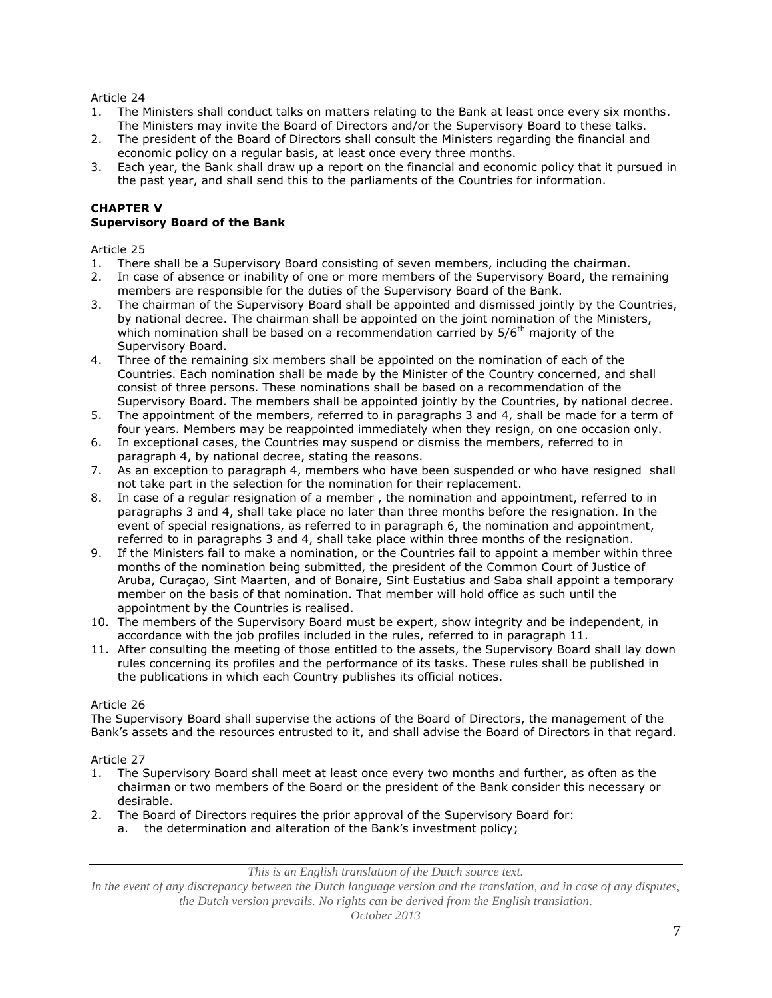- 1. The Ministers shall conduct talks on matters relating to the Bank at least once every six months. The Ministers may invite the Board of Directors and/or the Supervisory Board to these talks.
- 2. The president of the Board of Directors shall consult the Ministers regarding the financial and economic policy on a regular basis, at least once every three months.
- 3. Each year, the Bank shall draw up a report on the financial and economic policy that it pursued in the past year, and shall send this to the parliaments of the Countries for information.

### **CHAPTER V Supervisory Board of the Bank**

Article 25

- 1. There shall be a Supervisory Board consisting of seven members, including the chairman.
- 2. In case of absence or inability of one or more members of the Supervisory Board, the remaining members are responsible for the duties of the Supervisory Board of the Bank.
- 3. The chairman of the Supervisory Board shall be appointed and dismissed jointly by the Countries, by national decree. The chairman shall be appointed on the joint nomination of the Ministers, which nomination shall be based on a recommendation carried by  $5/6$ <sup>th</sup> majority of the Supervisory Board.
- 4. Three of the remaining six members shall be appointed on the nomination of each of the Countries. Each nomination shall be made by the Minister of the Country concerned, and shall consist of three persons. These nominations shall be based on a recommendation of the Supervisory Board. The members shall be appointed jointly by the Countries, by national decree.
- 5. The appointment of the members, referred to in paragraphs 3 and 4, shall be made for a term of four years. Members may be reappointed immediately when they resign, on one occasion only.
- 6. In exceptional cases, the Countries may suspend or dismiss the members, referred to in paragraph 4, by national decree, stating the reasons.
- 7. As an exception to paragraph 4, members who have been suspended or who have resigned shall not take part in the selection for the nomination for their replacement.
- 8. In case of a regular resignation of a member , the nomination and appointment, referred to in paragraphs 3 and 4, shall take place no later than three months before the resignation. In the event of special resignations, as referred to in paragraph 6, the nomination and appointment, referred to in paragraphs 3 and 4, shall take place within three months of the resignation.
- 9. If the Ministers fail to make a nomination, or the Countries fail to appoint a member within three months of the nomination being submitted, the president of the Common Court of Justice of Aruba, Curaçao, Sint Maarten, and of Bonaire, Sint Eustatius and Saba shall appoint a temporary member on the basis of that nomination. That member will hold office as such until the appointment by the Countries is realised.
- 10. The members of the Supervisory Board must be expert, show integrity and be independent, in accordance with the job profiles included in the rules, referred to in paragraph 11.
- 11. After consulting the meeting of those entitled to the assets, the Supervisory Board shall lay down rules concerning its profiles and the performance of its tasks. These rules shall be published in the publications in which each Country publishes its official notices.

# Article 26

The Supervisory Board shall supervise the actions of the Board of Directors, the management of the Bank's assets and the resources entrusted to it, and shall advise the Board of Directors in that regard.

# Article 27

- 1. The Supervisory Board shall meet at least once every two months and further, as often as the chairman or two members of the Board or the president of the Bank consider this necessary or desirable.
- 2. The Board of Directors requires the prior approval of the Supervisory Board for:
	- a. the determination and alteration of the Bank's investment policy;

*This is an English translation of the Dutch source text.*

*In the event of any discrepancy between the Dutch language version and the translation, and in case of any disputes, the Dutch version prevails. No rights can be derived from the English translation.*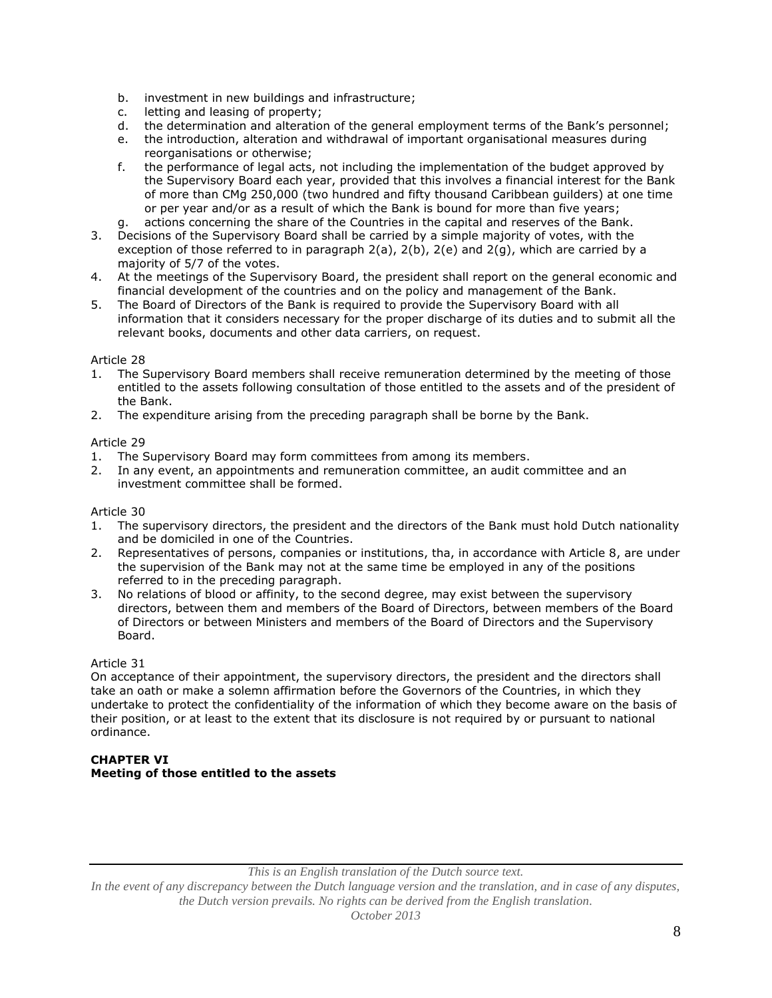- b. investment in new buildings and infrastructure;
- c. letting and leasing of property;<br>d. the determination and alteratio
- the determination and alteration of the general employment terms of the Bank's personnel;
- e. the introduction, alteration and withdrawal of important organisational measures during reorganisations or otherwise;
- f. the performance of legal acts, not including the implementation of the budget approved by the Supervisory Board each year, provided that this involves a financial interest for the Bank of more than CMg 250,000 (two hundred and fifty thousand Caribbean guilders) at one time or per year and/or as a result of which the Bank is bound for more than five years;
- g. actions concerning the share of the Countries in the capital and reserves of the Bank.
- 3. Decisions of the Supervisory Board shall be carried by a simple majority of votes, with the exception of those referred to in paragraph  $2(a)$ ,  $2(b)$ ,  $2(e)$  and  $2(g)$ , which are carried by a majority of 5/7 of the votes.
- 4. At the meetings of the Supervisory Board, the president shall report on the general economic and financial development of the countries and on the policy and management of the Bank.
- 5. The Board of Directors of the Bank is required to provide the Supervisory Board with all information that it considers necessary for the proper discharge of its duties and to submit all the relevant books, documents and other data carriers, on request.

- 1. The Supervisory Board members shall receive remuneration determined by the meeting of those entitled to the assets following consultation of those entitled to the assets and of the president of the Bank.
- 2. The expenditure arising from the preceding paragraph shall be borne by the Bank.

# Article 29

- 1. The Supervisory Board may form committees from among its members.
- 2. In any event, an appointments and remuneration committee, an audit committee and an investment committee shall be formed.

### Article 30

- 1. The supervisory directors, the president and the directors of the Bank must hold Dutch nationality and be domiciled in one of the Countries.
- 2. Representatives of persons, companies or institutions, tha, in accordance with Article 8, are under the supervision of the Bank may not at the same time be employed in any of the positions referred to in the preceding paragraph.
- 3. No relations of blood or affinity, to the second degree, may exist between the supervisory directors, between them and members of the Board of Directors, between members of the Board of Directors or between Ministers and members of the Board of Directors and the Supervisory Board.

### Article 31

On acceptance of their appointment, the supervisory directors, the president and the directors shall take an oath or make a solemn affirmation before the Governors of the Countries, in which they undertake to protect the confidentiality of the information of which they become aware on the basis of their position, or at least to the extent that its disclosure is not required by or pursuant to national ordinance.

# **CHAPTER VI Meeting of those entitled to the assets**

*This is an English translation of the Dutch source text.*

*In the event of any discrepancy between the Dutch language version and the translation, and in case of any disputes, the Dutch version prevails. No rights can be derived from the English translation.*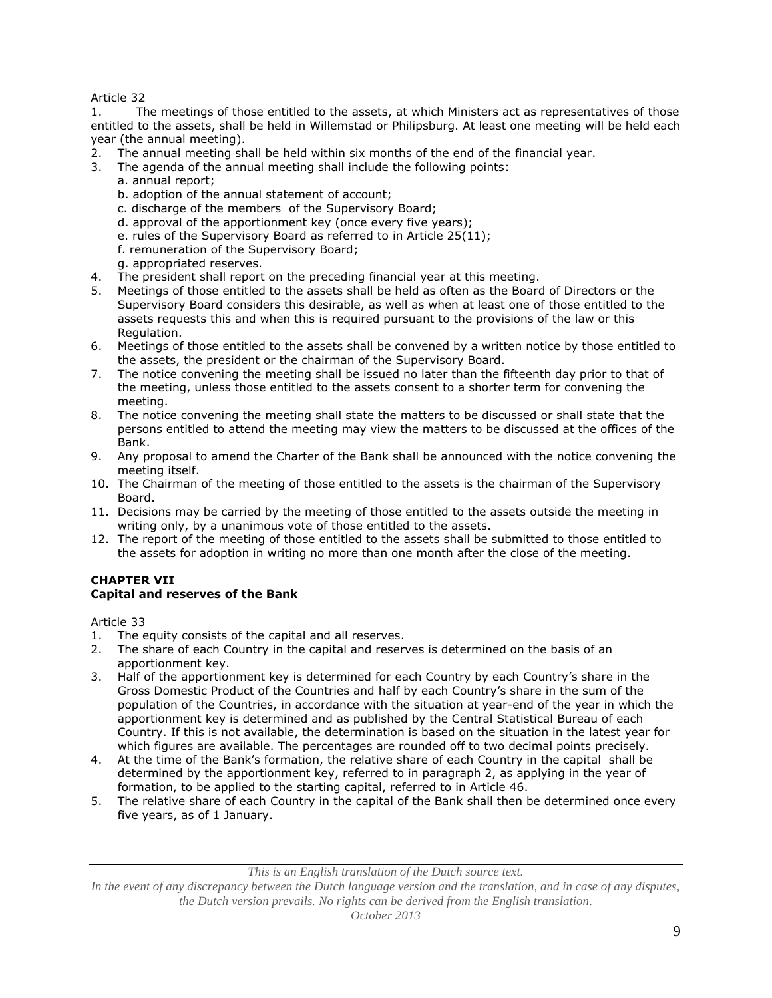1. The meetings of those entitled to the assets, at which Ministers act as representatives of those entitled to the assets, shall be held in Willemstad or Philipsburg. At least one meeting will be held each year (the annual meeting).

- 2. The annual meeting shall be held within six months of the end of the financial year.
- 3. The agenda of the annual meeting shall include the following points:
	- a. annual report;
	- b. adoption of the annual statement of account;
	- c. discharge of the members of the Supervisory Board;
	- d. approval of the apportionment key (once every five years);
	- e. rules of the Supervisory Board as referred to in Article 25(11);
	- f. remuneration of the Supervisory Board;
	- g. appropriated reserves.
- 4. The president shall report on the preceding financial year at this meeting.
- 5. Meetings of those entitled to the assets shall be held as often as the Board of Directors or the Supervisory Board considers this desirable, as well as when at least one of those entitled to the assets requests this and when this is required pursuant to the provisions of the law or this Regulation.
- 6. Meetings of those entitled to the assets shall be convened by a written notice by those entitled to the assets, the president or the chairman of the Supervisory Board.
- 7. The notice convening the meeting shall be issued no later than the fifteenth day prior to that of the meeting, unless those entitled to the assets consent to a shorter term for convening the meeting.
- 8. The notice convening the meeting shall state the matters to be discussed or shall state that the persons entitled to attend the meeting may view the matters to be discussed at the offices of the Bank.
- 9. Any proposal to amend the Charter of the Bank shall be announced with the notice convening the meeting itself.
- 10. The Chairman of the meeting of those entitled to the assets is the chairman of the Supervisory Board.
- 11. Decisions may be carried by the meeting of those entitled to the assets outside the meeting in writing only, by a unanimous vote of those entitled to the assets.
- 12. The report of the meeting of those entitled to the assets shall be submitted to those entitled to the assets for adoption in writing no more than one month after the close of the meeting.

#### **CHAPTER VII Capital and reserves of the Bank**

Article 33

- 1. The equity consists of the capital and all reserves.
- 2. The share of each Country in the capital and reserves is determined on the basis of an apportionment key.
- 3. Half of the apportionment key is determined for each Country by each Country's share in the Gross Domestic Product of the Countries and half by each Country's share in the sum of the population of the Countries, in accordance with the situation at year-end of the year in which the apportionment key is determined and as published by the Central Statistical Bureau of each Country. If this is not available, the determination is based on the situation in the latest year for which figures are available. The percentages are rounded off to two decimal points precisely.
- 4. At the time of the Bank's formation, the relative share of each Country in the capital shall be determined by the apportionment key, referred to in paragraph 2, as applying in the year of formation, to be applied to the starting capital, referred to in Article 46.
- 5. The relative share of each Country in the capital of the Bank shall then be determined once every five years, as of 1 January.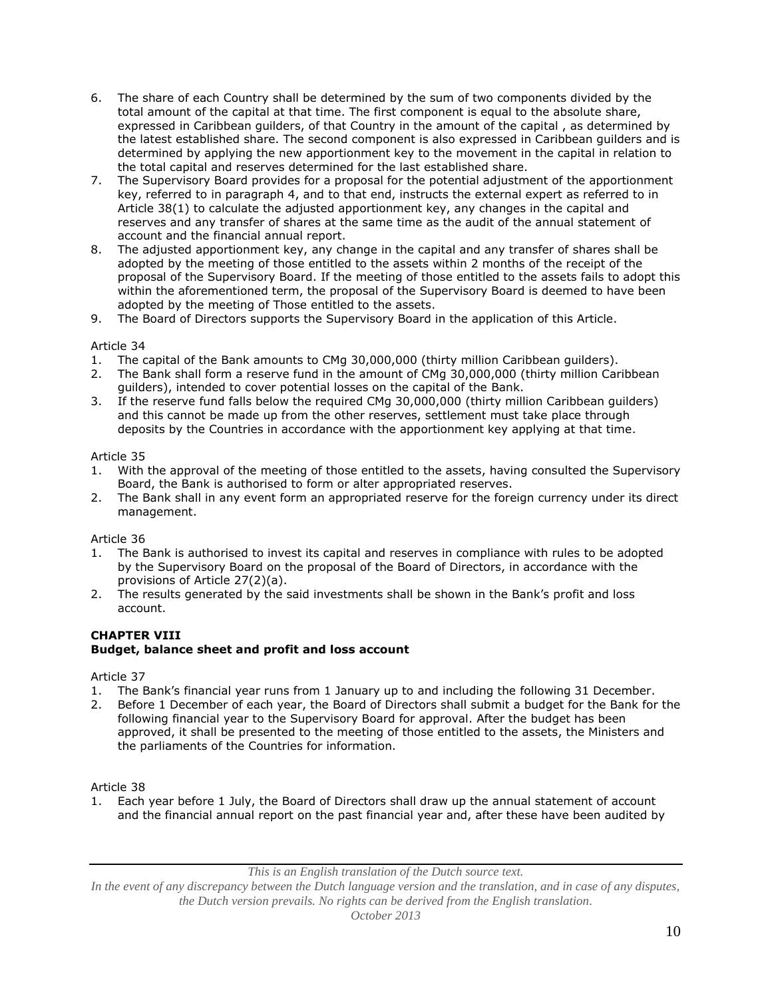- 6. The share of each Country shall be determined by the sum of two components divided by the total amount of the capital at that time. The first component is equal to the absolute share, expressed in Caribbean guilders, of that Country in the amount of the capital , as determined by the latest established share. The second component is also expressed in Caribbean guilders and is determined by applying the new apportionment key to the movement in the capital in relation to the total capital and reserves determined for the last established share.
- 7. The Supervisory Board provides for a proposal for the potential adjustment of the apportionment key, referred to in paragraph 4, and to that end, instructs the external expert as referred to in Article 38(1) to calculate the adjusted apportionment key, any changes in the capital and reserves and any transfer of shares at the same time as the audit of the annual statement of account and the financial annual report.
- 8. The adjusted apportionment key, any change in the capital and any transfer of shares shall be adopted by the meeting of those entitled to the assets within 2 months of the receipt of the proposal of the Supervisory Board. If the meeting of those entitled to the assets fails to adopt this within the aforementioned term, the proposal of the Supervisory Board is deemed to have been adopted by the meeting of Those entitled to the assets.
- 9. The Board of Directors supports the Supervisory Board in the application of this Article.

- 1. The capital of the Bank amounts to CMg 30,000,000 (thirty million Caribbean guilders).
- 2. The Bank shall form a reserve fund in the amount of CMg 30,000,000 (thirty million Caribbean guilders), intended to cover potential losses on the capital of the Bank.
- 3. If the reserve fund falls below the required CMg 30,000,000 (thirty million Caribbean guilders) and this cannot be made up from the other reserves, settlement must take place through deposits by the Countries in accordance with the apportionment key applying at that time.

### Article 35

- 1. With the approval of the meeting of those entitled to the assets, having consulted the Supervisory Board, the Bank is authorised to form or alter appropriated reserves.
- 2. The Bank shall in any event form an appropriated reserve for the foreign currency under its direct management.

### Article 36

- 1. The Bank is authorised to invest its capital and reserves in compliance with rules to be adopted by the Supervisory Board on the proposal of the Board of Directors, in accordance with the provisions of Article 27(2)(a).
- 2. The results generated by the said investments shall be shown in the Bank's profit and loss account.

# **CHAPTER VIII Budget, balance sheet and profit and loss account**

### Article 37

- 
- 1. The Bank's financial year runs from 1 January up to and including the following 31 December.<br>2. Before 1 December of each year, the Board of Directors shall submit a budget for the Bank for 2. Before 1 December of each year, the Board of Directors shall submit a budget for the Bank for the following financial year to the Supervisory Board for approval. After the budget has been approved, it shall be presented to the meeting of those entitled to the assets, the Ministers and the parliaments of the Countries for information.

### Article 38

1. Each year before 1 July, the Board of Directors shall draw up the annual statement of account and the financial annual report on the past financial year and, after these have been audited by

*This is an English translation of the Dutch source text.*

*In the event of any discrepancy between the Dutch language version and the translation, and in case of any disputes, the Dutch version prevails. No rights can be derived from the English translation.*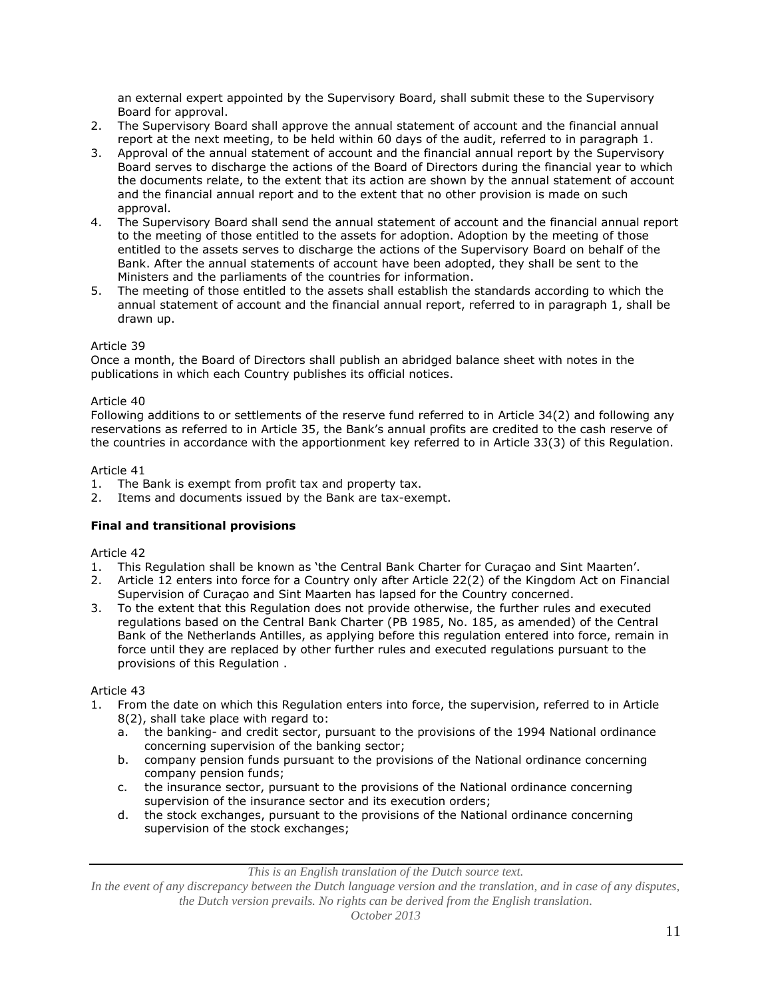an external expert appointed by the Supervisory Board, shall submit these to the Supervisory Board for approval.

- 2. The Supervisory Board shall approve the annual statement of account and the financial annual report at the next meeting, to be held within 60 days of the audit, referred to in paragraph 1.
- 3. Approval of the annual statement of account and the financial annual report by the Supervisory Board serves to discharge the actions of the Board of Directors during the financial year to which the documents relate, to the extent that its action are shown by the annual statement of account and the financial annual report and to the extent that no other provision is made on such approval.
- 4. The Supervisory Board shall send the annual statement of account and the financial annual report to the meeting of those entitled to the assets for adoption. Adoption by the meeting of those entitled to the assets serves to discharge the actions of the Supervisory Board on behalf of the Bank. After the annual statements of account have been adopted, they shall be sent to the Ministers and the parliaments of the countries for information.
- 5. The meeting of those entitled to the assets shall establish the standards according to which the annual statement of account and the financial annual report, referred to in paragraph 1, shall be drawn up.

# Article 39

Once a month, the Board of Directors shall publish an abridged balance sheet with notes in the publications in which each Country publishes its official notices.

### Article 40

Following additions to or settlements of the reserve fund referred to in Article 34(2) and following any reservations as referred to in Article 35, the Bank's annual profits are credited to the cash reserve of the countries in accordance with the apportionment key referred to in Article 33(3) of this Regulation.

### Article 41

- 1. The Bank is exempt from profit tax and property tax.
- 2. Items and documents issued by the Bank are tax-exempt.

# **Final and transitional provisions**

### Article 42

- 1. This Regulation shall be known as 'the Central Bank Charter for Curaçao and Sint Maarten'.
- 2. Article 12 enters into force for a Country only after Article 22(2) of the Kingdom Act on Financial Supervision of Curaçao and Sint Maarten has lapsed for the Country concerned.
- 3. To the extent that this Regulation does not provide otherwise, the further rules and executed regulations based on the Central Bank Charter (PB 1985, No. 185, as amended) of the Central Bank of the Netherlands Antilles, as applying before this regulation entered into force, remain in force until they are replaced by other further rules and executed regulations pursuant to the provisions of this Regulation .

### Article 43

- 1. From the date on which this Regulation enters into force, the supervision, referred to in Article 8(2), shall take place with regard to:
	- a. the banking- and credit sector, pursuant to the provisions of the 1994 National ordinance concerning supervision of the banking sector;
	- b. company pension funds pursuant to the provisions of the National ordinance concerning company pension funds;
	- c. the insurance sector, pursuant to the provisions of the National ordinance concerning supervision of the insurance sector and its execution orders;
	- d. the stock exchanges, pursuant to the provisions of the National ordinance concerning supervision of the stock exchanges;

*This is an English translation of the Dutch source text.*

*In the event of any discrepancy between the Dutch language version and the translation, and in case of any disputes, the Dutch version prevails. No rights can be derived from the English translation.*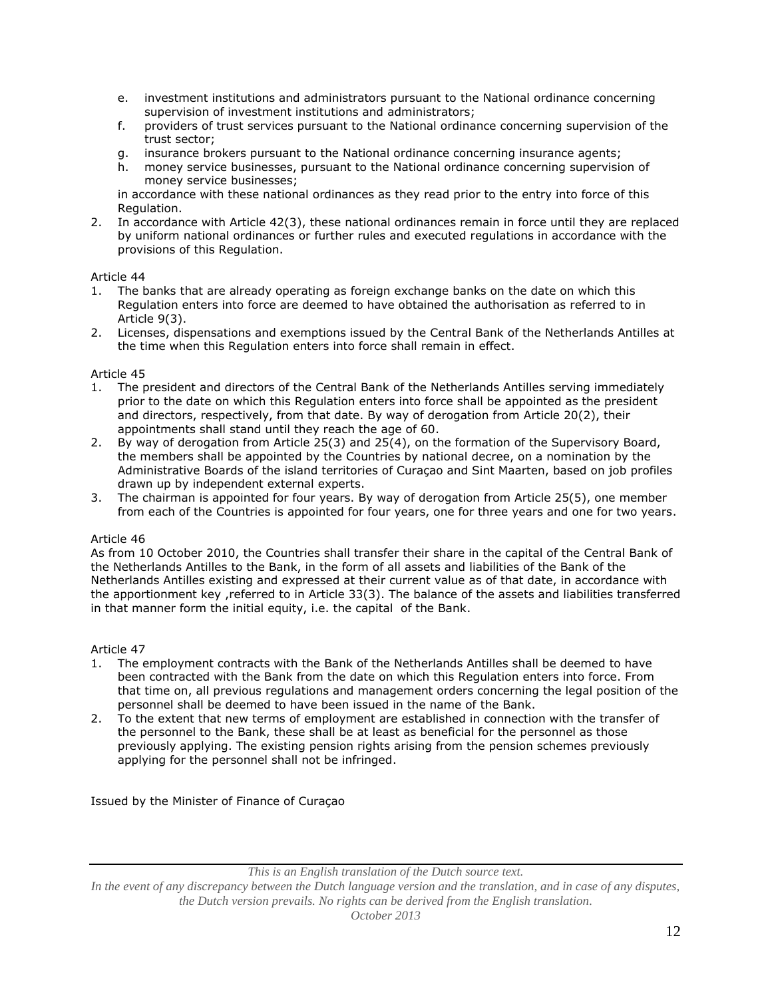- e. investment institutions and administrators pursuant to the National ordinance concerning supervision of investment institutions and administrators;
- f. providers of trust services pursuant to the National ordinance concerning supervision of the trust sector;
- g. insurance brokers pursuant to the National ordinance concerning insurance agents;
- h. money service businesses, pursuant to the National ordinance concerning supervision of money service businesses;

in accordance with these national ordinances as they read prior to the entry into force of this Regulation.

2. In accordance with Article 42(3), these national ordinances remain in force until they are replaced by uniform national ordinances or further rules and executed regulations in accordance with the provisions of this Regulation.

# Article 44

- 1. The banks that are already operating as foreign exchange banks on the date on which this Regulation enters into force are deemed to have obtained the authorisation as referred to in Article 9(3).
- 2. Licenses, dispensations and exemptions issued by the Central Bank of the Netherlands Antilles at the time when this Regulation enters into force shall remain in effect.

### Article 45

- 1. The president and directors of the Central Bank of the Netherlands Antilles serving immediately prior to the date on which this Regulation enters into force shall be appointed as the president and directors, respectively, from that date. By way of derogation from Article 20(2), their appointments shall stand until they reach the age of 60.
- 2. By way of derogation from Article 25(3) and 25(4), on the formation of the Supervisory Board, the members shall be appointed by the Countries by national decree, on a nomination by the Administrative Boards of the island territories of Curaçao and Sint Maarten, based on job profiles drawn up by independent external experts.
- 3. The chairman is appointed for four years. By way of derogation from Article 25(5), one member from each of the Countries is appointed for four years, one for three years and one for two years.

### Article 46

As from 10 October 2010, the Countries shall transfer their share in the capital of the Central Bank of the Netherlands Antilles to the Bank, in the form of all assets and liabilities of the Bank of the Netherlands Antilles existing and expressed at their current value as of that date, in accordance with the apportionment key ,referred to in Article 33(3). The balance of the assets and liabilities transferred in that manner form the initial equity, i.e. the capital of the Bank.

### Article 47

- 1. The employment contracts with the Bank of the Netherlands Antilles shall be deemed to have been contracted with the Bank from the date on which this Regulation enters into force. From that time on, all previous regulations and management orders concerning the legal position of the personnel shall be deemed to have been issued in the name of the Bank.
- 2. To the extent that new terms of employment are established in connection with the transfer of the personnel to the Bank, these shall be at least as beneficial for the personnel as those previously applying. The existing pension rights arising from the pension schemes previously applying for the personnel shall not be infringed.

Issued by the Minister of Finance of Curaçao

*This is an English translation of the Dutch source text.*

*In the event of any discrepancy between the Dutch language version and the translation, and in case of any disputes, the Dutch version prevails. No rights can be derived from the English translation. October 2013*